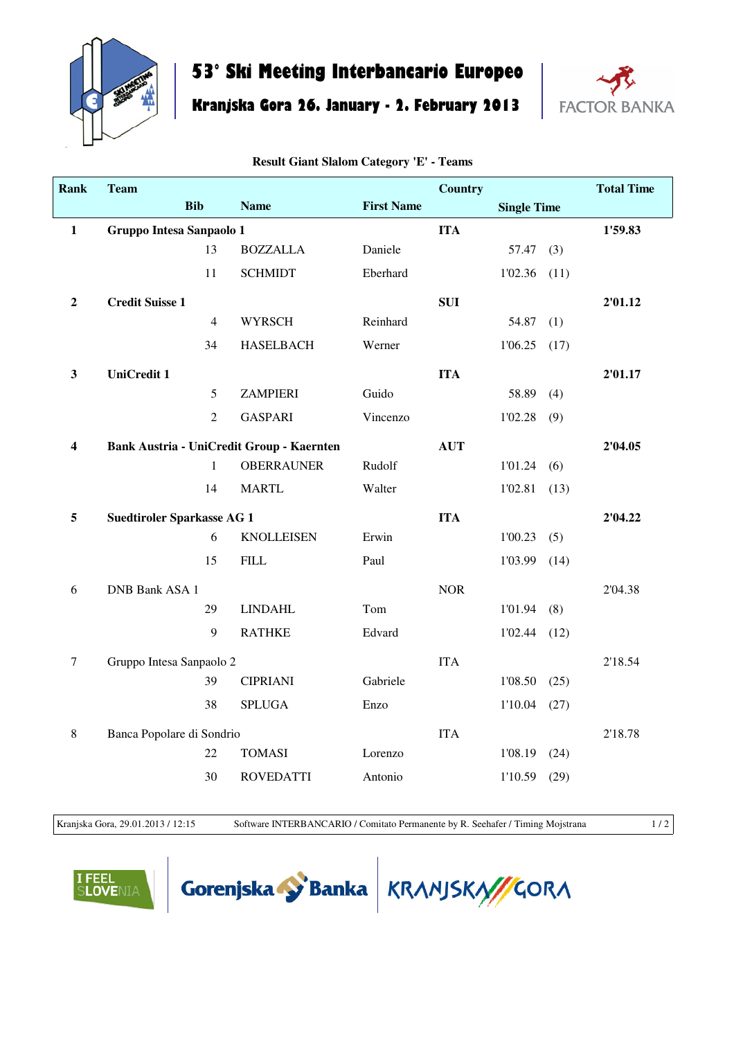

## **53° Ski Meeting Interbancario Europeo**

**Kranjska Gora 26. January - 2. February 2013**



| <b>Rank</b>             | <b>Team</b>                       |                |                                                  |                   | <b>Country</b> |                    |         | <b>Total Time</b> |
|-------------------------|-----------------------------------|----------------|--------------------------------------------------|-------------------|----------------|--------------------|---------|-------------------|
|                         | <b>Bib</b>                        |                | <b>Name</b>                                      | <b>First Name</b> |                | <b>Single Time</b> |         |                   |
| $\mathbf{1}$            | Gruppo Intesa Sanpaolo 1          |                |                                                  | <b>ITA</b>        |                |                    | 1'59.83 |                   |
|                         |                                   | 13             | <b>BOZZALLA</b>                                  | Daniele           |                | 57.47              | (3)     |                   |
|                         |                                   | 11             | <b>SCHMIDT</b>                                   | Eberhard          |                | 1'02.36            | (11)    |                   |
| $\boldsymbol{2}$        | <b>Credit Suisse 1</b>            |                |                                                  |                   | <b>SUI</b>     |                    |         | 2'01.12           |
|                         |                                   | $\overline{4}$ | <b>WYRSCH</b>                                    | Reinhard          |                | 54.87              | (1)     |                   |
|                         |                                   | 34             | <b>HASELBACH</b>                                 | Werner            |                | 1'06.25            | (17)    |                   |
| $\mathbf{3}$            | <b>UniCredit 1</b>                |                |                                                  |                   | <b>ITA</b>     |                    |         | 2'01.17           |
|                         |                                   | 5              | <b>ZAMPIERI</b>                                  | Guido             |                | 58.89              | (4)     |                   |
|                         |                                   | $\overline{2}$ | <b>GASPARI</b>                                   | Vincenzo          |                | 1'02.28            | (9)     |                   |
| $\overline{\mathbf{4}}$ |                                   |                | <b>Bank Austria - UniCredit Group - Kaernten</b> |                   | <b>AUT</b>     |                    |         | 2'04.05           |
|                         |                                   | $\mathbf{1}$   | <b>OBERRAUNER</b>                                | Rudolf            |                | 1'01.24            | (6)     |                   |
|                         |                                   | 14             | <b>MARTL</b>                                     | Walter            |                | 1'02.81            | (13)    |                   |
| 5                       | <b>Suedtiroler Sparkasse AG 1</b> |                |                                                  |                   | <b>ITA</b>     |                    |         | 2'04.22           |
|                         |                                   | 6              | <b>KNOLLEISEN</b>                                | Erwin             |                | 1'00.23            | (5)     |                   |
|                         |                                   | 15             | <b>FILL</b>                                      | Paul              |                | 1'03.99            | (14)    |                   |
| 6                       | <b>DNB Bank ASA 1</b>             |                |                                                  |                   | <b>NOR</b>     |                    |         | 2'04.38           |
|                         |                                   | 29             | <b>LINDAHL</b>                                   | Tom               |                | 1'01.94            | (8)     |                   |
|                         |                                   | 9              | <b>RATHKE</b>                                    | Edvard            |                | 1'02.44            | (12)    |                   |
| $\tau$                  | Gruppo Intesa Sanpaolo 2          |                |                                                  |                   | <b>ITA</b>     |                    |         | 2'18.54           |
|                         |                                   | 39             | <b>CIPRIANI</b>                                  | Gabriele          |                | 1'08.50            | (25)    |                   |
|                         |                                   | 38             | <b>SPLUGA</b>                                    | Enzo              |                | 1'10.04            | (27)    |                   |
| $\,8\,$                 | Banca Popolare di Sondrio         |                |                                                  |                   | <b>ITA</b>     |                    |         | 2'18.78           |
|                         |                                   | 22             | <b>TOMASI</b>                                    | Lorenzo           |                | 1'08.19            | (24)    |                   |
|                         |                                   | 30             | <b>ROVEDATTI</b>                                 | Antonio           |                | 1'10.59            | (29)    |                   |

**Result Giant Slalom Category 'E' - Teams**

Kranjska Gora, 29.01.2013 / 12:15 Software INTERBANCARIO / Comitato Permanente by R. Seehafer / Timing Mojstrana 1/2